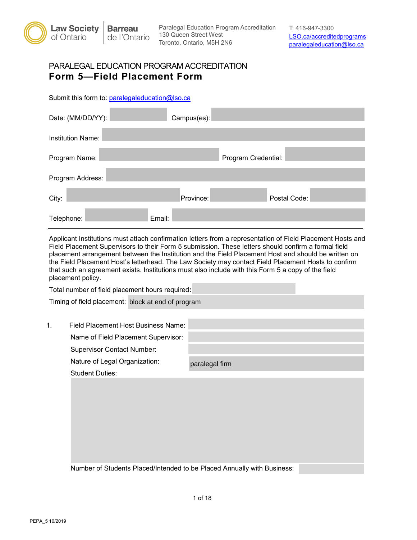

Paralegal Education Program Accreditation 130 Queen Street West Toronto, Ontario, M5H 2N6

## PARALEGAL EDUCATION PROGRAM ACCREDITATION **Form 5—Field Placement Form**

Submit this form to: [paralegaleducation@lso.ca](mailto:paralegaleducation@lso.ca)

| Date: (MM/DD/YY):        | Campus(es): |                     |  |
|--------------------------|-------------|---------------------|--|
| <b>Institution Name:</b> |             |                     |  |
| Program Name:            |             | Program Credential: |  |
| Program Address:         |             |                     |  |
| City:                    | Province:   | Postal Code:        |  |
| Email:<br>Telephone:     |             |                     |  |

Applicant Institutions must attach confirmation letters from a representation of Field Placement Hosts and Field Placement Supervisors to their Form 5 submission. These letters should confirm a formal field placement arrangement between the Institution and the Field Placement Host and should be written on the Field Placement Host's letterhead. The Law Society may contact Field Placement Hosts to confirm that such an agreement exists. Institutions must also include with this Form 5 a copy of the field placement policy.

|                | Total number of field placement hours required:                         |                |  |
|----------------|-------------------------------------------------------------------------|----------------|--|
|                | Timing of field placement: block at end of program                      |                |  |
|                |                                                                         |                |  |
| $\mathbf{1}$ . | Field Placement Host Business Name:                                     |                |  |
|                | Name of Field Placement Supervisor:                                     |                |  |
|                | <b>Supervisor Contact Number:</b>                                       |                |  |
|                | Nature of Legal Organization:                                           | paralegal firm |  |
|                | <b>Student Duties:</b>                                                  |                |  |
|                |                                                                         |                |  |
|                | Number of Students Placed/Intended to be Placed Annually with Business: |                |  |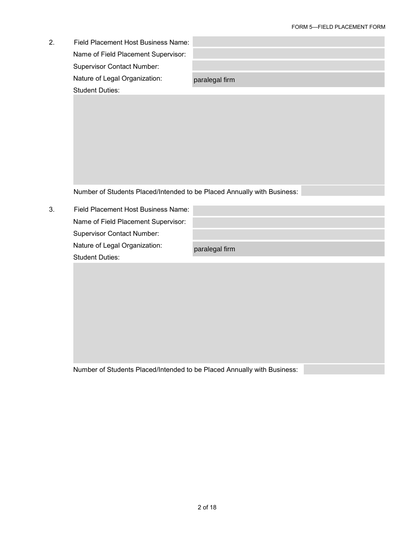| 2. | Field Placement Host Business Name:                                     |                |  |
|----|-------------------------------------------------------------------------|----------------|--|
|    | Name of Field Placement Supervisor:                                     |                |  |
|    | <b>Supervisor Contact Number:</b>                                       |                |  |
|    | Nature of Legal Organization:                                           | paralegal firm |  |
|    | <b>Student Duties:</b>                                                  |                |  |
|    |                                                                         |                |  |
|    |                                                                         |                |  |
|    |                                                                         |                |  |
|    |                                                                         |                |  |
|    |                                                                         |                |  |
|    |                                                                         |                |  |
|    |                                                                         |                |  |
|    | Number of Students Placed/Intended to be Placed Annually with Business: |                |  |
|    |                                                                         |                |  |
| 3. | Field Placement Host Business Name:                                     |                |  |
|    | Name of Field Placement Supervisor:                                     |                |  |
|    | <b>Supervisor Contact Number:</b>                                       |                |  |
|    | Nature of Legal Organization:                                           | paralegal firm |  |
|    | <b>Student Duties:</b>                                                  |                |  |
|    |                                                                         |                |  |
|    |                                                                         |                |  |
|    |                                                                         |                |  |
|    |                                                                         |                |  |
|    |                                                                         |                |  |
|    |                                                                         |                |  |
|    |                                                                         |                |  |
|    |                                                                         |                |  |
|    | Number of Students Placed/Intended to be Placed Annually with Business: |                |  |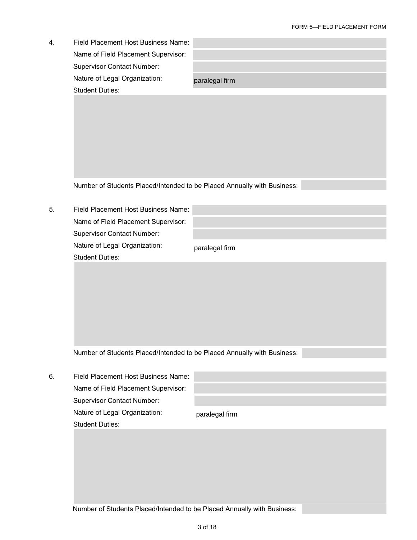| 4. | Field Placement Host Business Name:                                     |                |
|----|-------------------------------------------------------------------------|----------------|
|    | Name of Field Placement Supervisor:                                     |                |
|    | Supervisor Contact Number:                                              |                |
|    | Nature of Legal Organization:                                           | paralegal firm |
|    | <b>Student Duties:</b>                                                  |                |
|    |                                                                         |                |
|    |                                                                         |                |
|    |                                                                         |                |
|    |                                                                         |                |
|    |                                                                         |                |
|    |                                                                         |                |
|    |                                                                         |                |
|    | Number of Students Placed/Intended to be Placed Annually with Business: |                |
|    |                                                                         |                |
| 5. | Field Placement Host Business Name:                                     |                |
|    | Name of Field Placement Supervisor:                                     |                |
|    | <b>Supervisor Contact Number:</b>                                       |                |
|    | Nature of Legal Organization:                                           | paralegal firm |
|    | <b>Student Duties:</b>                                                  |                |
|    |                                                                         |                |
|    |                                                                         |                |
|    |                                                                         |                |
|    |                                                                         |                |
|    |                                                                         |                |
|    |                                                                         |                |
|    |                                                                         |                |
|    | Number of Students Placed/Intended to be Placed Annually with Business: |                |
|    |                                                                         |                |
| 6. | Field Placement Host Business Name:                                     |                |
|    | Name of Field Placement Supervisor:                                     |                |
|    | <b>Supervisor Contact Number:</b>                                       |                |
|    | Nature of Legal Organization:                                           | paralegal firm |
|    | <b>Student Duties:</b>                                                  |                |
|    |                                                                         |                |
|    |                                                                         |                |
|    |                                                                         |                |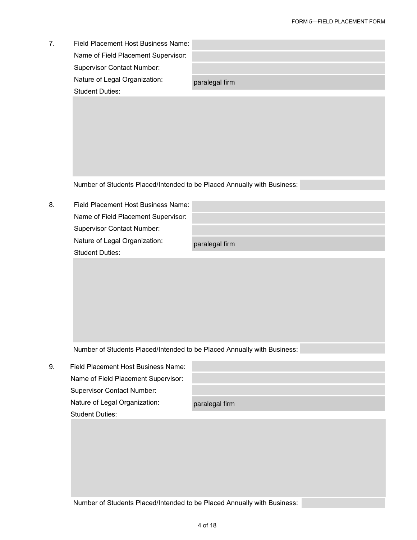| Field Placement Host Business Name: |                |
|-------------------------------------|----------------|
| Name of Field Placement Supervisor: |                |
| <b>Supervisor Contact Number:</b>   |                |
| Nature of Legal Organization:       | paralegal firm |
| <b>Student Duties:</b>              |                |

8. Field Placement Host Business Name: Name of Field Placement Supervisor: Supervisor Contact Number: Nature of Legal Organization: Student Duties:

paralegal firm

Number of Students Placed/Intended to be Placed Annually with Business:

9. Field Placement Host Business Name: Name of Field Placement Supervisor: Supervisor Contact Number: Nature of Legal Organization: Student Duties:

|  | paralegal firm |
|--|----------------|
|  |                |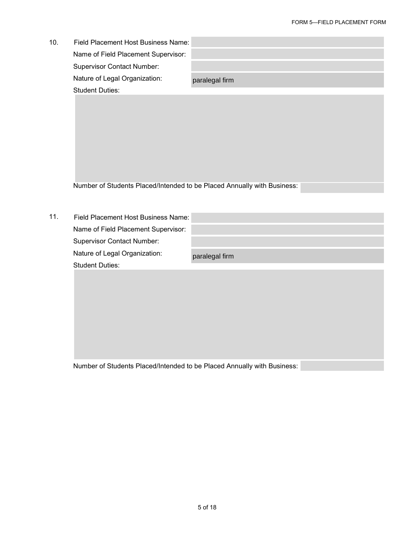| 10. | Field Placement Host Business Name:                                     |                |
|-----|-------------------------------------------------------------------------|----------------|
|     | Name of Field Placement Supervisor:                                     |                |
|     | Supervisor Contact Number:                                              |                |
|     | Nature of Legal Organization:                                           | paralegal firm |
|     | <b>Student Duties:</b>                                                  |                |
|     |                                                                         |                |
|     |                                                                         |                |
|     |                                                                         |                |
|     |                                                                         |                |
|     |                                                                         |                |
|     |                                                                         |                |
|     |                                                                         |                |
|     | Number of Students Placed/Intended to be Placed Annually with Business: |                |
|     |                                                                         |                |
|     |                                                                         |                |
| 11. | Field Placement Host Business Name:                                     |                |
|     | Name of Field Placement Supervisor:                                     |                |
|     | <b>Supervisor Contact Number:</b>                                       |                |
|     | Nature of Legal Organization:                                           | paralegal firm |
|     | <b>Student Duties:</b>                                                  |                |
|     |                                                                         |                |
|     |                                                                         |                |
|     |                                                                         |                |
|     |                                                                         |                |
|     |                                                                         |                |
|     |                                                                         |                |
|     |                                                                         |                |
|     |                                                                         |                |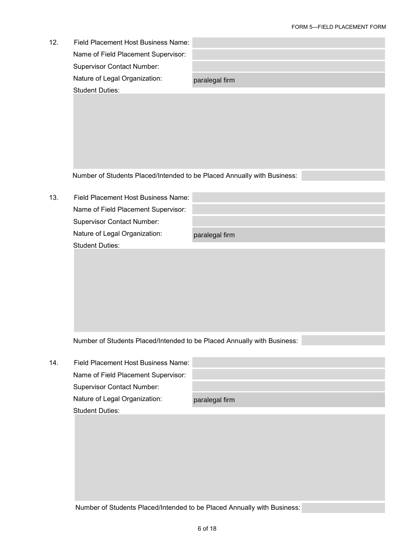e e

| 12. | Field Placement Host Business Name:                                     |                |
|-----|-------------------------------------------------------------------------|----------------|
|     | Name of Field Placement Supervisor:                                     |                |
|     | <b>Supervisor Contact Number:</b>                                       |                |
|     | Nature of Legal Organization:                                           | paralegal firm |
|     | <b>Student Duties:</b>                                                  |                |
|     |                                                                         |                |
|     |                                                                         |                |
|     |                                                                         |                |
|     |                                                                         |                |
|     |                                                                         |                |
|     |                                                                         |                |
|     | Number of Students Placed/Intended to be Placed Annually with Business: |                |
|     |                                                                         |                |
| 13. | Field Placement Host Business Name:                                     |                |
|     | Name of Field Placement Supervisor:                                     |                |
|     | <b>Supervisor Contact Number:</b>                                       |                |
|     | Nature of Legal Organization:                                           | paralegal firm |
|     | <b>Student Duties:</b>                                                  |                |
|     |                                                                         |                |
|     |                                                                         |                |
|     |                                                                         |                |
|     |                                                                         |                |
|     |                                                                         |                |
|     |                                                                         |                |
|     |                                                                         |                |
|     | Number of Students Placed/Intended to be Placed Annually with Business: |                |
|     |                                                                         |                |
| 14. | Field Placement Host Business Name:                                     |                |
|     | Name of Field Placement Supervisor:                                     |                |
|     | <b>Supervisor Contact Number:</b>                                       |                |
|     | Nature of Legal Organization:                                           | paralegal firm |
|     | <b>Student Duties:</b>                                                  |                |
|     |                                                                         |                |
|     |                                                                         |                |
|     |                                                                         |                |
|     |                                                                         |                |
|     |                                                                         |                |
|     |                                                                         |                |
|     |                                                                         |                |
|     | Number of Students Placed/Intended to be Placed Annually with Business: |                |
|     |                                                                         |                |
|     |                                                                         | 6 of 18        |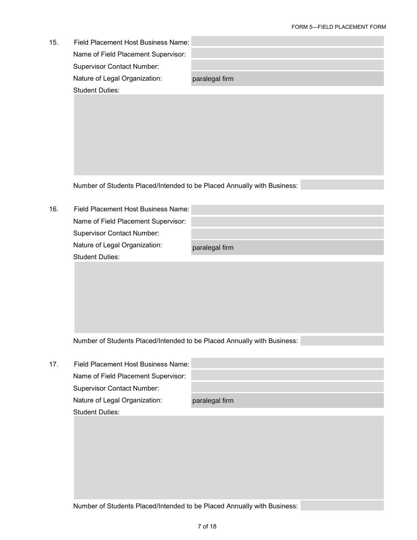| 15. | Field Placement Host Business Name:<br>Name of Field Placement Supervisor:<br><b>Supervisor Contact Number:</b><br>Nature of Legal Organization:<br><b>Student Duties:</b> | paralegal firm |
|-----|----------------------------------------------------------------------------------------------------------------------------------------------------------------------------|----------------|
|     |                                                                                                                                                                            |                |
|     | Number of Students Placed/Intended to be Placed Annually with Business:                                                                                                    |                |
| 16. | Field Placement Host Business Name:                                                                                                                                        |                |
|     | Name of Field Placement Supervisor:                                                                                                                                        |                |
|     | <b>Supervisor Contact Number:</b><br>Nature of Legal Organization:                                                                                                         |                |
|     | <b>Student Duties:</b>                                                                                                                                                     | paralegal firm |
|     |                                                                                                                                                                            |                |
|     | Number of Students Placed/Intended to be Placed Annually with Business:                                                                                                    |                |
| 17. | Field Placement Host Business Name:                                                                                                                                        |                |
|     | Name of Field Placement Supervisor:                                                                                                                                        |                |
|     | <b>Supervisor Contact Number:</b><br>Nature of Legal Organization:                                                                                                         | paralegal firm |
|     | <b>Student Duties:</b>                                                                                                                                                     |                |
|     |                                                                                                                                                                            |                |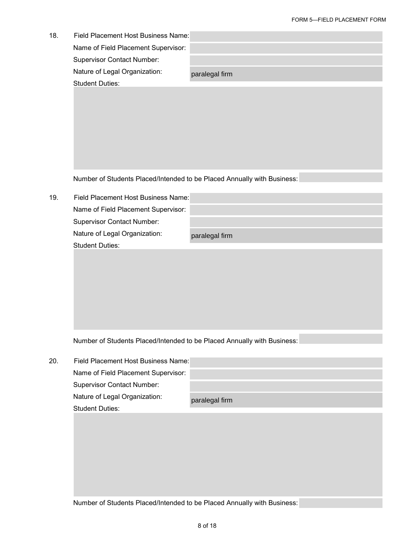| 18. | Field Placement Host Business Name: |                |
|-----|-------------------------------------|----------------|
|     | Name of Field Placement Supervisor: |                |
|     | <b>Supervisor Contact Number:</b>   |                |
|     | Nature of Legal Organization:       | paralegal firm |
|     | <b>Student Duties:</b>              |                |

19. Field Placement Host Business Name: Name of Field Placement Supervisor: Supervisor Contact Number: Nature of Legal Organization: Student Duties: paralegal firm

Number of Students Placed/Intended to be Placed Annually with Business:

| 20. | Field Placement Host Business Name: |                |
|-----|-------------------------------------|----------------|
|     | Name of Field Placement Supervisor: |                |
|     | <b>Supervisor Contact Number:</b>   |                |
|     | Nature of Legal Organization:       | paralegal firm |
|     | <b>Student Duties:</b>              |                |
|     |                                     |                |
|     |                                     |                |
|     |                                     |                |
|     |                                     |                |
|     |                                     |                |
|     |                                     |                |
|     |                                     |                |
|     |                                     |                |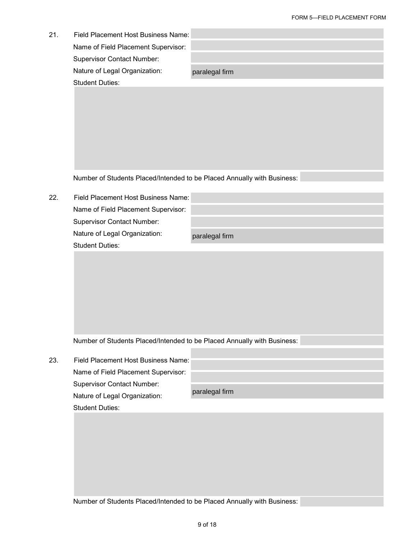| 21. | Field Placement Host Business Name:<br>Name of Field Placement Supervisor:<br><b>Supervisor Contact Number:</b><br>Nature of Legal Organization:<br><b>Student Duties:</b> | paralegal firm |
|-----|----------------------------------------------------------------------------------------------------------------------------------------------------------------------------|----------------|
|     |                                                                                                                                                                            |                |
|     | Number of Students Placed/Intended to be Placed Annually with Business:                                                                                                    |                |
| 22. | Field Placement Host Business Name:<br>Name of Field Placement Supervisor:<br><b>Supervisor Contact Number:</b><br>Nature of Legal Organization:                           | paralegal firm |
|     |                                                                                                                                                                            |                |
|     | Number of Students Placed/Intended to be Placed Annually with Business:                                                                                                    |                |
| 23. | Field Placement Host Business Name:<br>Name of Field Placement Supervisor:<br><b>Supervisor Contact Number:</b><br>Nature of Legal Organization:<br><b>Student Duties:</b> | paralegal firm |
|     |                                                                                                                                                                            |                |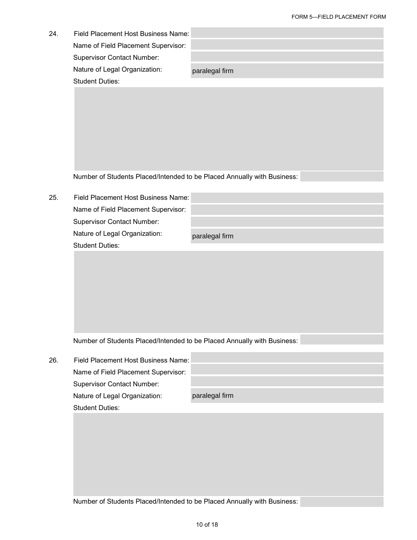| 24. | Field Placement Host Business Name:<br>Name of Field Placement Supervisor:<br><b>Supervisor Contact Number:</b><br>Nature of Legal Organization: |                |
|-----|--------------------------------------------------------------------------------------------------------------------------------------------------|----------------|
|     | <b>Student Duties:</b>                                                                                                                           | paralegal firm |
|     |                                                                                                                                                  |                |
|     |                                                                                                                                                  |                |
|     |                                                                                                                                                  |                |
|     |                                                                                                                                                  |                |
|     |                                                                                                                                                  |                |
|     |                                                                                                                                                  |                |
|     | Number of Students Placed/Intended to be Placed Annually with Business:                                                                          |                |
|     |                                                                                                                                                  |                |
| 25. | Field Placement Host Business Name:                                                                                                              |                |
|     | Name of Field Placement Supervisor:<br><b>Supervisor Contact Number:</b>                                                                         |                |
|     | Nature of Legal Organization:                                                                                                                    |                |
|     | <b>Student Duties:</b>                                                                                                                           | paralegal firm |
|     |                                                                                                                                                  |                |
|     |                                                                                                                                                  |                |
|     |                                                                                                                                                  |                |
|     |                                                                                                                                                  |                |
|     |                                                                                                                                                  |                |
|     |                                                                                                                                                  |                |
|     | Number of Students Placed/Intended to be Placed Annually with Business:                                                                          |                |
| 26. | Field Placement Host Business Name:                                                                                                              |                |
|     | Name of Field Placement Supervisor:                                                                                                              |                |
|     | <b>Supervisor Contact Number:</b>                                                                                                                |                |
|     | Nature of Legal Organization:                                                                                                                    | paralegal firm |
|     | <b>Student Duties:</b>                                                                                                                           |                |
|     |                                                                                                                                                  |                |
|     |                                                                                                                                                  |                |
|     |                                                                                                                                                  |                |
|     |                                                                                                                                                  |                |
|     |                                                                                                                                                  |                |
|     |                                                                                                                                                  |                |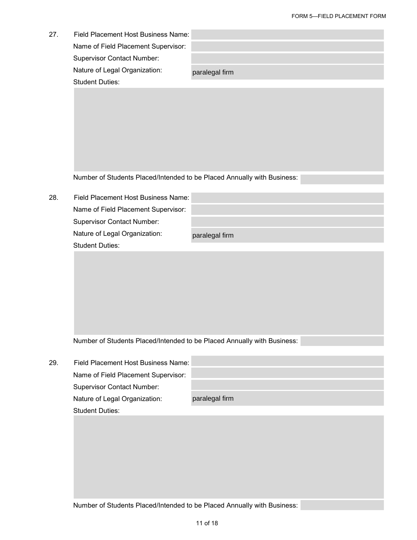| 27. | Field Placement Host Business Name:<br>Name of Field Placement Supervisor: |                |
|-----|----------------------------------------------------------------------------|----------------|
|     | <b>Supervisor Contact Number:</b>                                          |                |
|     | Nature of Legal Organization:                                              | paralegal firm |
|     | <b>Student Duties:</b>                                                     |                |
|     |                                                                            |                |
|     |                                                                            |                |
|     |                                                                            |                |
|     |                                                                            |                |
|     |                                                                            |                |
|     |                                                                            |                |
|     |                                                                            |                |
|     | Number of Students Placed/Intended to be Placed Annually with Business:    |                |
| 28. | Field Placement Host Business Name:                                        |                |
|     | Name of Field Placement Supervisor:                                        |                |
|     | <b>Supervisor Contact Number:</b>                                          |                |
|     | Nature of Legal Organization:                                              | paralegal firm |
|     | <b>Student Duties:</b>                                                     |                |
|     |                                                                            |                |
|     |                                                                            |                |

| 29. | Field Placement Host Business Name: |                |
|-----|-------------------------------------|----------------|
|     | Name of Field Placement Supervisor: |                |
|     | <b>Supervisor Contact Number:</b>   |                |
|     | Nature of Legal Organization:       | paralegal firm |
|     | <b>Student Duties:</b>              |                |
|     |                                     |                |
|     |                                     |                |
|     |                                     |                |
|     |                                     |                |
|     |                                     |                |
|     |                                     |                |
|     |                                     |                |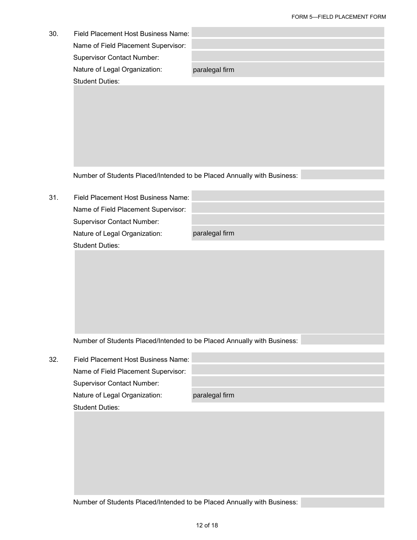| 30. | Field Placement Host Business Name:                                      |                |
|-----|--------------------------------------------------------------------------|----------------|
|     | Name of Field Placement Supervisor:<br><b>Supervisor Contact Number:</b> |                |
|     | Nature of Legal Organization:<br><b>Student Duties:</b>                  | paralegal firm |
|     |                                                                          |                |
|     | Number of Students Placed/Intended to be Placed Annually with Business:  |                |
| 31. | Field Placement Host Business Name:                                      |                |
|     | Name of Field Placement Supervisor:                                      |                |
|     | <b>Supervisor Contact Number:</b>                                        |                |
|     | Nature of Legal Organization:                                            | paralegal firm |
|     | <b>Student Duties:</b>                                                   |                |
|     |                                                                          |                |
|     | Number of Students Placed/Intended to be Placed Annually with Business:  |                |
| 32. | Field Placement Host Business Name:                                      |                |
|     | Name of Field Placement Supervisor:                                      |                |
|     | <b>Supervisor Contact Number:</b>                                        |                |
|     | Nature of Legal Organization:                                            | paralegal firm |
|     | <b>Student Duties:</b>                                                   |                |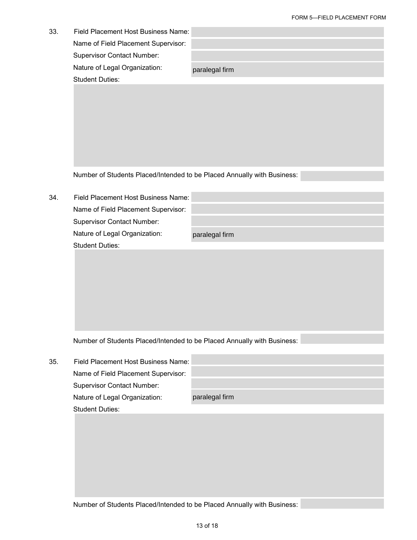| 33. | Field Placement Host Business Name:<br>Name of Field Placement Supervisor:<br><b>Supervisor Contact Number:</b><br>Nature of Legal Organization:<br><b>Student Duties:</b> | paralegal firm |
|-----|----------------------------------------------------------------------------------------------------------------------------------------------------------------------------|----------------|
|     |                                                                                                                                                                            |                |
|     | Number of Students Placed/Intended to be Placed Annually with Business:                                                                                                    |                |
| 34. | Field Placement Host Business Name:<br>Name of Field Placement Supervisor:                                                                                                 |                |
|     | <b>Supervisor Contact Number:</b>                                                                                                                                          |                |
|     | Nature of Legal Organization:                                                                                                                                              | paralegal firm |
|     | <b>Student Duties:</b>                                                                                                                                                     |                |
|     |                                                                                                                                                                            |                |
|     | Number of Students Placed/Intended to be Placed Annually with Business:                                                                                                    |                |
| 35. | Field Placement Host Business Name:                                                                                                                                        |                |
|     | Name of Field Placement Supervisor:                                                                                                                                        |                |
|     | <b>Supervisor Contact Number:</b>                                                                                                                                          |                |
|     | Nature of Legal Organization:                                                                                                                                              | paralegal firm |
|     | <b>Student Duties:</b>                                                                                                                                                     |                |
|     |                                                                                                                                                                            |                |
|     |                                                                                                                                                                            |                |
|     |                                                                                                                                                                            |                |
|     |                                                                                                                                                                            |                |
|     |                                                                                                                                                                            |                |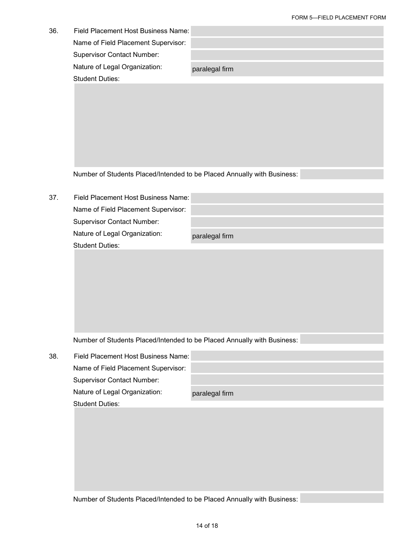|     |                                                                         | <b>OINWED</b> TELD FLAULIMENT FUNK |
|-----|-------------------------------------------------------------------------|------------------------------------|
| 36. | Field Placement Host Business Name:                                     |                                    |
|     | Name of Field Placement Supervisor:                                     |                                    |
|     | <b>Supervisor Contact Number:</b>                                       |                                    |
|     | Nature of Legal Organization:                                           | paralegal firm                     |
|     | <b>Student Duties:</b>                                                  |                                    |
|     |                                                                         |                                    |
|     |                                                                         |                                    |
|     |                                                                         |                                    |
|     |                                                                         |                                    |
|     |                                                                         |                                    |
|     |                                                                         |                                    |
|     |                                                                         |                                    |
|     | Number of Students Placed/Intended to be Placed Annually with Business: |                                    |
|     |                                                                         |                                    |
| 37. | Field Placement Host Business Name:                                     |                                    |
|     | Name of Field Placement Supervisor:                                     |                                    |
|     | <b>Supervisor Contact Number:</b>                                       |                                    |
|     | Nature of Legal Organization:                                           | paralegal firm                     |
|     | <b>Student Duties:</b>                                                  |                                    |
|     |                                                                         |                                    |
|     |                                                                         |                                    |
|     |                                                                         |                                    |
|     |                                                                         |                                    |
|     |                                                                         |                                    |
|     |                                                                         |                                    |
|     |                                                                         |                                    |
|     | Number of Students Placed/Intended to be Placed Annually with Business: |                                    |
| 38. | Field Placement Host Business Name:                                     |                                    |
|     | Name of Field Placement Supervisor:                                     |                                    |
|     | <b>Supervisor Contact Number:</b>                                       |                                    |
|     | Nature of Legal Organization:                                           | paralegal firm                     |
|     | <b>Student Duties:</b>                                                  |                                    |
|     |                                                                         |                                    |
|     |                                                                         |                                    |
|     |                                                                         |                                    |
|     |                                                                         |                                    |
|     |                                                                         |                                    |
|     |                                                                         |                                    |
|     |                                                                         |                                    |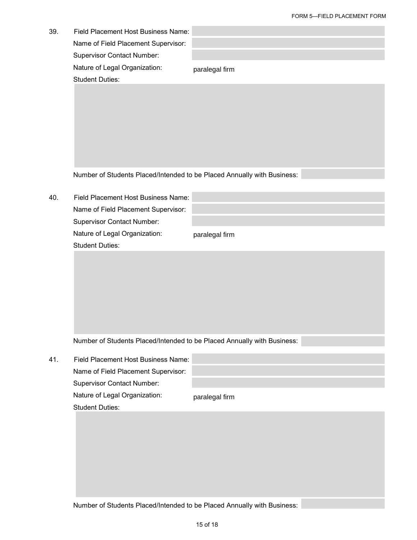| 39. | Field Placement Host Business Name:<br>Name of Field Placement Supervisor:<br><b>Supervisor Contact Number:</b> |                |
|-----|-----------------------------------------------------------------------------------------------------------------|----------------|
|     | Nature of Legal Organization:<br><b>Student Duties:</b>                                                         | paralegal firm |
|     |                                                                                                                 |                |
|     | Number of Students Placed/Intended to be Placed Annually with Business:                                         |                |
| 40. | Field Placement Host Business Name:<br>Name of Field Placement Supervisor:<br><b>Supervisor Contact Number:</b> |                |
|     | Nature of Legal Organization:<br><b>Student Duties:</b>                                                         | paralegal firm |
|     |                                                                                                                 |                |
|     | Number of Students Placed/Intended to be Placed Annually with Business:                                         |                |
| 41. | Field Placement Host Business Name:<br>Name of Field Placement Supervisor:<br><b>Supervisor Contact Number:</b> |                |
|     | Nature of Legal Organization:<br><b>Student Duties:</b>                                                         | paralegal firm |
|     |                                                                                                                 |                |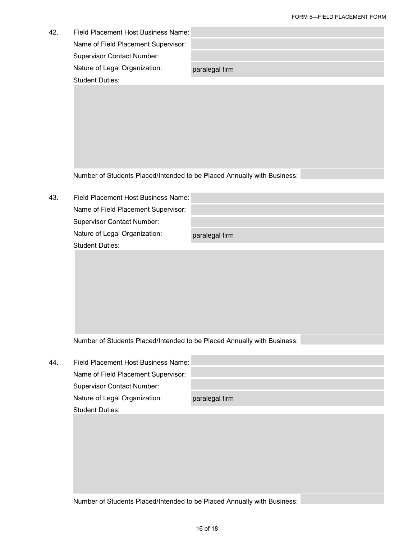| 42. | Field Placement Host Business Name:                                     |                |
|-----|-------------------------------------------------------------------------|----------------|
|     | Name of Field Placement Supervisor:                                     |                |
|     | <b>Supervisor Contact Number:</b>                                       |                |
|     | Nature of Legal Organization:                                           | paralegal firm |
|     | <b>Student Duties:</b>                                                  |                |
|     |                                                                         |                |
|     |                                                                         |                |
|     |                                                                         |                |
|     |                                                                         |                |
|     |                                                                         |                |
|     |                                                                         |                |
|     | Number of Students Placed/Intended to be Placed Annually with Business: |                |
|     |                                                                         |                |
| 43. | Field Placement Host Business Name:                                     |                |
|     | Name of Field Placement Supervisor:                                     |                |
|     | Supervisor Contact Number:                                              |                |
|     | Nature of Legal Organization:<br><b>Student Duties:</b>                 | paralegal firm |
|     |                                                                         |                |
|     |                                                                         |                |
|     |                                                                         |                |
|     |                                                                         |                |
|     |                                                                         |                |
|     |                                                                         |                |
|     |                                                                         |                |
|     | Number of Students Placed/Intended to be Placed Annually with Business: |                |
| 44. | Field Placement Host Business Name:                                     |                |
|     | Name of Field Placement Supervisor:                                     |                |
|     | <b>Supervisor Contact Number:</b>                                       |                |
|     | Nature of Legal Organization:                                           | paralegal firm |
|     | <b>Student Duties:</b>                                                  |                |
|     |                                                                         |                |
|     |                                                                         |                |
|     |                                                                         |                |
|     |                                                                         |                |
|     |                                                                         |                |
|     |                                                                         |                |
|     | Number of Students Placed/Intended to be Placed Annually with Business: |                |
|     |                                                                         |                |
|     |                                                                         | 16 of 18       |
|     |                                                                         |                |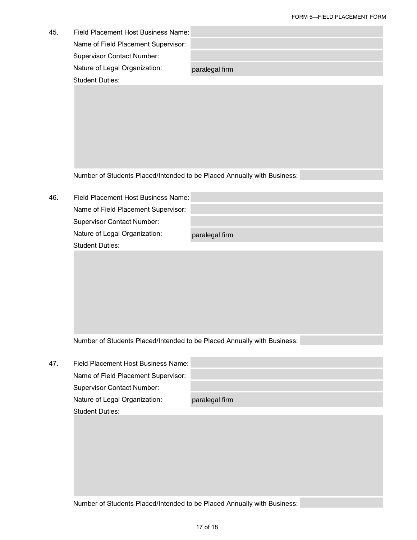| 45. | Field Placement Host Business Name: |                |
|-----|-------------------------------------|----------------|
|     | Name of Field Placement Supervisor: |                |
|     | <b>Supervisor Contact Number:</b>   |                |
|     | Nature of Legal Organization:       | paralegal firm |
|     | <b>Student Duties:</b>              |                |
|     |                                     |                |

46. Field Placement Host Business Name: Name of Field Placement Supervisor: Supervisor Contact Number: Nature of Legal Organization: Student Duties:

paralegal firm

| 47. | Field Placement Host Business Name: |                |
|-----|-------------------------------------|----------------|
|     | Name of Field Placement Supervisor: |                |
|     | <b>Supervisor Contact Number:</b>   |                |
|     | Nature of Legal Organization:       | paralegal firm |
|     | <b>Student Duties:</b>              |                |
|     |                                     |                |
|     |                                     |                |
|     |                                     |                |
|     |                                     |                |
|     |                                     |                |
|     |                                     |                |
|     |                                     |                |
|     |                                     |                |